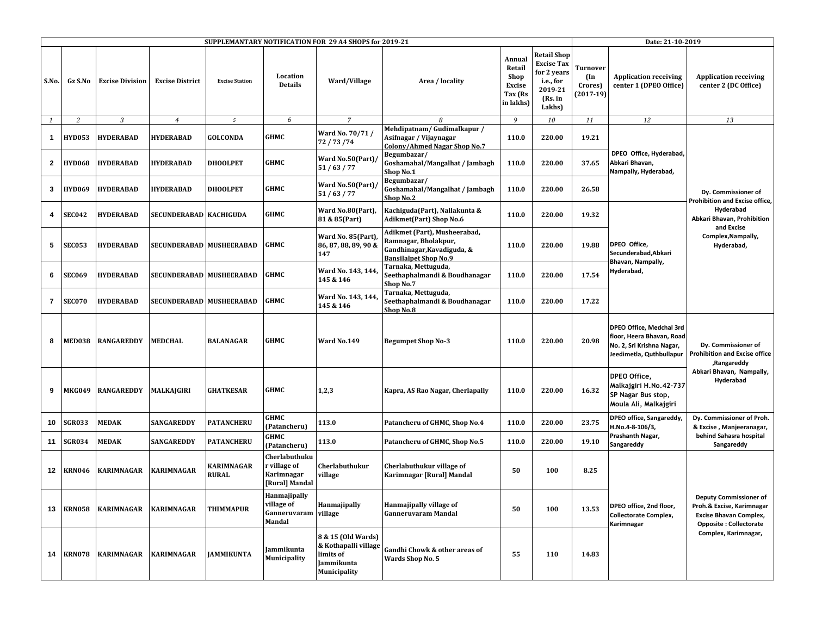| SUPPLEMANTARY NOTIFICATION FOR 29 A4 SHOPS for 2019-21 |               |                        |                          |                                   |                                                               |                                                                                              |                                                                                                                    |                                                            | Date: 21-10-2019                                                                                    |                                           |                                                                                                                                              |                                                                                                                                                    |
|--------------------------------------------------------|---------------|------------------------|--------------------------|-----------------------------------|---------------------------------------------------------------|----------------------------------------------------------------------------------------------|--------------------------------------------------------------------------------------------------------------------|------------------------------------------------------------|-----------------------------------------------------------------------------------------------------|-------------------------------------------|----------------------------------------------------------------------------------------------------------------------------------------------|----------------------------------------------------------------------------------------------------------------------------------------------------|
| S.No.                                                  | Gz S.No       | <b>Excise Division</b> | <b>Excise District</b>   | <b>Excise Station</b>             | Location<br><b>Details</b>                                    | Ward/Village                                                                                 | Area / locality                                                                                                    | Annual<br>Retail<br>Shop<br>Excise<br>Tax (Rs<br>in lakhs) | <b>Retail Shop</b><br><b>Excise Tax</b><br>for 2 years<br>i.e., for<br>2019-21<br>(Rs. in<br>Lakhs) | Turnover<br>(In<br>Crores)<br>$(2017-19)$ | <b>Application receiving</b><br>center 1 (DPEO Office)                                                                                       | <b>Application receiving</b><br>center 2 (DC Office)                                                                                               |
| 1                                                      | 2             | $\overline{3}$         | $\overline{4}$           | $\sqrt{5}$                        | 6                                                             | $\overline{7}$                                                                               | 8                                                                                                                  | 9                                                          | 10                                                                                                  | 11                                        | 12                                                                                                                                           | 13                                                                                                                                                 |
| $\mathbf{1}$                                           | <b>HYD053</b> | <b>HYDERABAD</b>       | <b>HYDERABAD</b>         | <b>GOLCONDA</b>                   | <b>GHMC</b>                                                   | Ward No. 70/71/<br>72 / 73 / 74                                                              | Mehdipatnam/Gudimalkapur/<br>Asifnagar / Vijaynagar<br>Colony/Ahmed Nagar Shop No.7                                | 110.0                                                      | 220.00                                                                                              | 19.21                                     | DPEO Office, Hyderabad,<br>Abkari Bhavan,<br>Nampally, Hyderabad,<br>DPEO Office.<br>Secunderabad, Abkari<br>Bhavan, Nampally,<br>Hyderabad, | Dy. Commissioner of<br>Prohibition and Excise office,<br>Hyderabad<br>Abkari Bhavan, Prohibition<br>and Excise<br>Complex, Nampally,<br>Hyderabad, |
| $\overline{2}$                                         | <b>HYD068</b> | <b>HYDERABAD</b>       | <b>HYDERABAD</b>         | <b>DHOOLPET</b>                   | GHMC                                                          | Ward No.50(Part)<br>51/63/77                                                                 | Begumbazar/<br>Goshamahal/Mangalhat / Jambagh<br>Shop No.1                                                         | 110.0                                                      | 220.00                                                                                              | 37.65                                     |                                                                                                                                              |                                                                                                                                                    |
| 3                                                      | <b>HYD069</b> | <b>HYDERABAD</b>       | <b>HYDERABAD</b>         | <b>DHOOLPET</b>                   | <b>GHMC</b>                                                   | Ward No.50(Part)<br>51/63/77                                                                 | Begumbazar/<br>Goshamahal/Mangalhat / Jambagh<br>Shop No.2                                                         | 110.0                                                      | 220.00                                                                                              | 26.58                                     |                                                                                                                                              |                                                                                                                                                    |
| 4                                                      | <b>SEC042</b> | <b>HYDERABAD</b>       | SECUNDERABAD   KACHIGUDA |                                   | <b>GHMC</b>                                                   | Ward No.80(Part),<br>81 & 85(Part)                                                           | Kachiguda(Part), Nallakunta &<br><b>Adikmet(Part) Shop No.6</b>                                                    | 110.0                                                      | 220.00                                                                                              | 19.32                                     |                                                                                                                                              |                                                                                                                                                    |
| 5                                                      | <b>SEC053</b> | <b>HYDERABAD</b>       | SECUNDERABAD MUSHEERABAD |                                   | <b>GHMC</b>                                                   | Ward No. 85(Part)<br>86, 87, 88, 89, 90 &<br>147                                             | Adikmet (Part), Musheerabad,<br>Ramnagar, Bholakpur,<br>Gandhinagar, Kavadiguda, &<br><b>Bansilalpet Shop No.9</b> | 110.0                                                      | 220.00                                                                                              | 19.88                                     |                                                                                                                                              |                                                                                                                                                    |
| 6                                                      | <b>SEC069</b> | <b>HYDERABAD</b>       | SECUNDERABAD MUSHEERABAD |                                   | <b>GHMC</b>                                                   | Ward No. 143, 144<br>145 & 146                                                               | Tarnaka, Mettuguda,<br>Seethaphalmandi & Boudhanagar<br>Shop No.7                                                  | 110.0                                                      | 220.00                                                                                              | 17.54                                     |                                                                                                                                              |                                                                                                                                                    |
| $\overline{7}$                                         | <b>SEC070</b> | <b>HYDERABAD</b>       | SECUNDERABAD MUSHEERABAD |                                   | <b>GHMC</b>                                                   | Ward No. 143, 144<br>145 & 146                                                               | Tarnaka, Mettuguda,<br>Seethaphalmandi & Boudhanagar<br>Shop No.8                                                  | 110.0                                                      | 220.00                                                                                              | 17.22                                     |                                                                                                                                              |                                                                                                                                                    |
| 8                                                      | <b>MED038</b> | RANGAREDDY             | <b>MEDCHAL</b>           | <b>BALANAGAR</b>                  | <b>GHMC</b>                                                   | Ward No.149                                                                                  | <b>Begumpet Shop No-3</b>                                                                                          | 110.0                                                      | 220.00                                                                                              | 20.98                                     | DPEO Office, Medchal 3rd<br>floor, Heera Bhavan, Road<br>No. 2, Sri Krishna Nagar,<br>Jeedimetla, Quthbullapur                               | Dy. Commissioner of<br><b>Prohibition and Excise office</b><br>,Rangareddy                                                                         |
| 9                                                      | <b>MKG049</b> | RANGAREDDY             | MALKAJGIRI               | <b>GHATKESAR</b>                  | <b>GHMC</b>                                                   | 1,2,3                                                                                        | Kapra, AS Rao Nagar, Cherlapally                                                                                   | 110.0                                                      | 220.00                                                                                              | 16.32                                     | DPEO Office,<br>Malkajgiri H.No. 42-737<br>SP Nagar Bus stop,<br>Moula Ali, Malkajgiri                                                       | Abkari Bhavan, Nampally,<br>Hyderabad                                                                                                              |
| 10                                                     | <b>SGR033</b> | MEDAK                  | <b>SANGAREDDY</b>        | <b>PATANCHERU</b>                 | <b>GHMC</b><br>(Patancheru)                                   | 113.0                                                                                        | Patancheru of GHMC, Shop No.4                                                                                      | 110.0                                                      | 220.00                                                                                              | 23.75                                     | DPEO office, Sangareddy,<br>H.No.4-8-106/3,<br>Prashanth Nagar,<br>Sangareddy                                                                | Dy. Commissioner of Proh.<br>& Excise, Manjeeranagar,<br>behind Sahasra hospital<br>Sangareddy                                                     |
| 11                                                     | <b>SGR034</b> | MEDAK                  | <b>SANGAREDDY</b>        | <b>PATANCHERU</b>                 | GHMC<br>(Patancheru)                                          | 113.0                                                                                        | Patancheru of GHMC, Shop No.5                                                                                      | 110.0                                                      | 220.00                                                                                              | 19.10                                     |                                                                                                                                              |                                                                                                                                                    |
| 12                                                     | <b>KRN046</b> | KARIMNAGAR             | <b>KARIMNAGAR</b>        | <b>KARIMNAGAR</b><br><b>RURAL</b> | Cherlabuthuku<br>r village of<br>Karimnagar<br>[Rural] Mandal | Cherlabuthukur<br>village                                                                    | Cherlabuthukur village of<br>Karimnagar [Rural] Mandal                                                             | 50                                                         | 100                                                                                                 | 8.25                                      | DPEO office, 2nd floor,<br><b>Collectorate Complex,</b><br>Karimnagar                                                                        | <b>Deputy Commissioner of</b><br>Proh.& Excise, Karimnagar<br><b>Excise Bhavan Complex,</b><br>Opposite : Collectorate<br>Complex, Karimnagar,     |
| 13                                                     | <b>KRN058</b> | KARIMNAGAR             | <b>KARIMNAGAR</b>        | <b>THIMMAPUR</b>                  | Hanmajipally<br>village of<br>Ganneruvaram village<br>Mandal  | Hanmajipally                                                                                 | Hanmajipally village of<br><b>Ganneruvaram Mandal</b>                                                              | 50                                                         | 100                                                                                                 | 13.53                                     |                                                                                                                                              |                                                                                                                                                    |
| 14                                                     | <b>KRN078</b> | KARIMNAGAR             | <b>KARIMNAGAR</b>        | <b>JAMMIKUNTA</b>                 | Jammikunta<br>Municipality                                    | 8 & 15 (Old Wards)<br>& Kothapalli village<br>limits of<br>Jammikunta<br><b>Municipality</b> | Gandhi Chowk & other areas of<br><b>Wards Shop No. 5</b>                                                           | 55                                                         | 110                                                                                                 | 14.83                                     |                                                                                                                                              |                                                                                                                                                    |